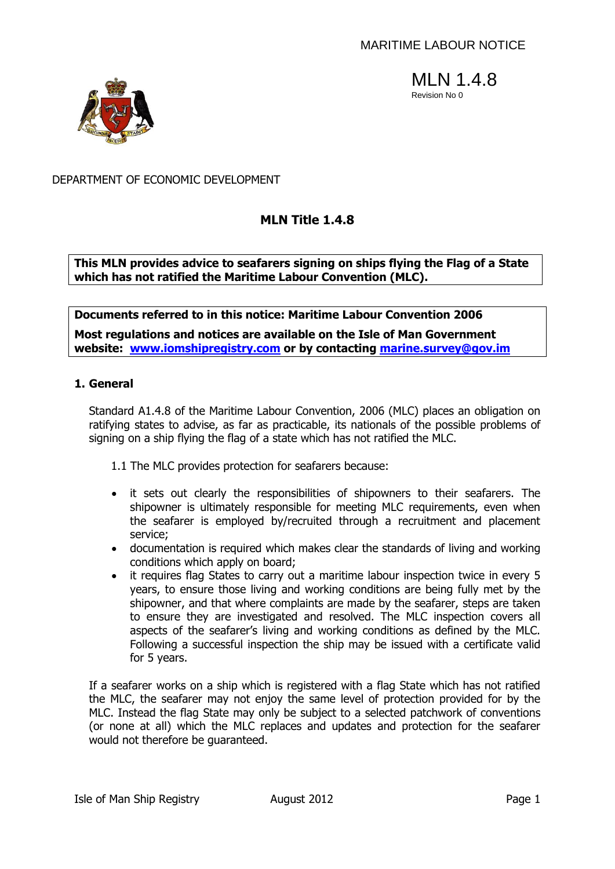



### DEPARTMENT OF ECONOMIC DEVELOPMENT

# **MLN Title 1.4.8**

**This MLN provides advice to seafarers signing on ships flying the Flag of a State which has not ratified the Maritime Labour Convention (MLC).**

**Documents referred to in this notice: Maritime Labour Convention 2006**

**Most regulations and notices are available on the Isle of Man Government website: [www.iomshipregistry.com](http://www.iomshipregistry.com/) or by contacting marine.survey@gov.im**

### **1. General**

Standard A1.4.8 of the Maritime Labour Convention, 2006 (MLC) places an obligation on ratifying states to advise, as far as practicable, its nationals of the possible problems of signing on a ship flying the flag of a state which has not ratified the MLC.

1.1 The MLC provides protection for seafarers because:

- it sets out clearly the responsibilities of shipowners to their seafarers. The shipowner is ultimately responsible for meeting MLC requirements, even when the seafarer is employed by/recruited through a recruitment and placement service;
- documentation is required which makes clear the standards of living and working conditions which apply on board;
- it requires flag States to carry out a maritime labour inspection twice in every 5 years, to ensure those living and working conditions are being fully met by the shipowner, and that where complaints are made by the seafarer, steps are taken to ensure they are investigated and resolved. The MLC inspection covers all aspects of the seafarer's living and working conditions as defined by the MLC. Following a successful inspection the ship may be issued with a certificate valid for 5 years.

If a seafarer works on a ship which is registered with a flag State which has not ratified the MLC, the seafarer may not enjoy the same level of protection provided for by the MLC. Instead the flag State may only be subject to a selected patchwork of conventions (or none at all) which the MLC replaces and updates and protection for the seafarer would not therefore be guaranteed.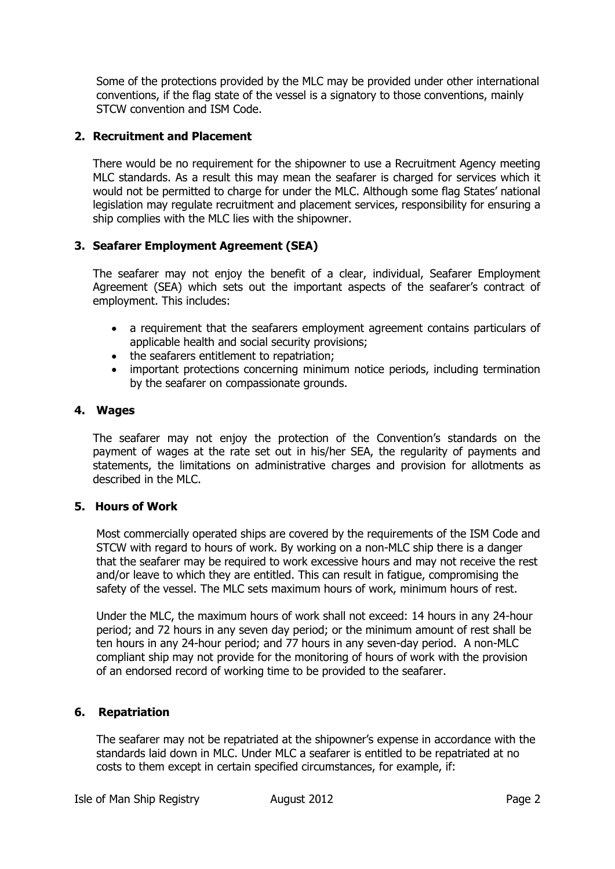Some of the protections provided by the MLC may be provided under other international conventions, if the flag state of the vessel is a signatory to those conventions, mainly STCW convention and ISM Code.

## **2. Recruitment and Placement**

There would be no requirement for the shipowner to use a Recruitment Agency meeting MLC standards. As a result this may mean the seafarer is charged for services which it would not be permitted to charge for under the MLC. Although some flag States' national legislation may regulate recruitment and placement services, responsibility for ensuring a ship complies with the MLC lies with the shipowner.

## **3. Seafarer Employment Agreement (SEA)**

The seafarer may not enjoy the benefit of a clear, individual, Seafarer Employment Agreement (SEA) which sets out the important aspects of the seafarer's contract of employment. This includes:

- a requirement that the seafarers employment agreement contains particulars of applicable health and social security provisions;
- the seafarers entitlement to repatriation;
- important protections concerning minimum notice periods, including termination by the seafarer on compassionate grounds.

## **4. Wages**

The seafarer may not enjoy the protection of the Convention's standards on the payment of wages at the rate set out in his/her SEA, the regularity of payments and statements, the limitations on administrative charges and provision for allotments as described in the MLC.

## **5. Hours of Work**

Most commercially operated ships are covered by the requirements of the ISM Code and STCW with regard to hours of work. By working on a non-MLC ship there is a danger that the seafarer may be required to work excessive hours and may not receive the rest and/or leave to which they are entitled. This can result in fatigue, compromising the safety of the vessel. The MLC sets maximum hours of work, minimum hours of rest.

Under the MLC, the maximum hours of work shall not exceed: 14 hours in any 24-hour period; and 72 hours in any seven day period; or the minimum amount of rest shall be ten hours in any 24-hour period; and 77 hours in any seven-day period. A non-MLC compliant ship may not provide for the monitoring of hours of work with the provision of an endorsed record of working time to be provided to the seafarer.

# **6. Repatriation**

The seafarer may not be repatriated at the shipowner's expense in accordance with the standards laid down in MLC. Under MLC a seafarer is entitled to be repatriated at no costs to them except in certain specified circumstances, for example, if: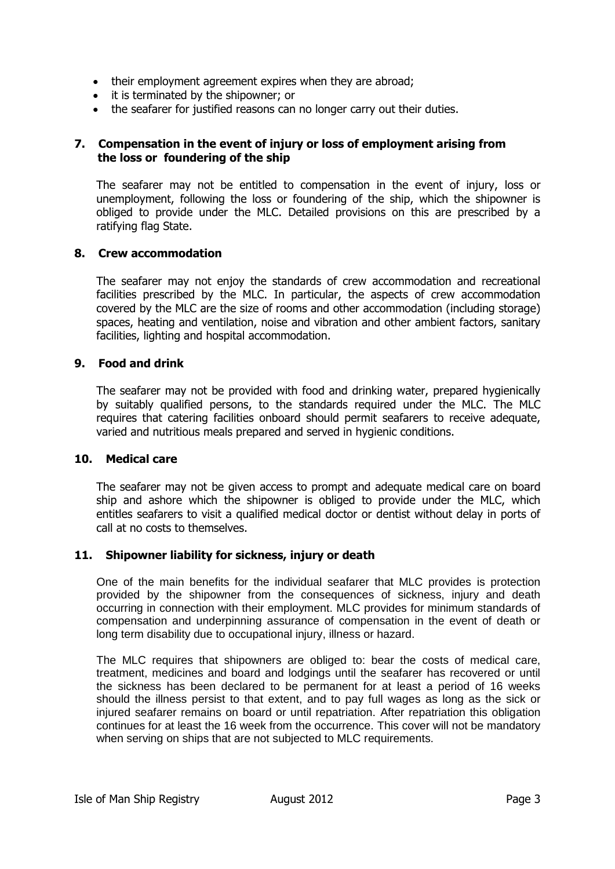- their employment agreement expires when they are abroad;
- it is terminated by the shipowner; or
- the seafarer for justified reasons can no longer carry out their duties.

### **7. Compensation in the event of injury or loss of employment arising from the loss or foundering of the ship**

The seafarer may not be entitled to compensation in the event of injury, loss or unemployment, following the loss or foundering of the ship, which the shipowner is obliged to provide under the MLC. Detailed provisions on this are prescribed by a ratifying flag State.

### **8. Crew accommodation**

The seafarer may not enjoy the standards of crew accommodation and recreational facilities prescribed by the MLC. In particular, the aspects of crew accommodation covered by the MLC are the size of rooms and other accommodation (including storage) spaces, heating and ventilation, noise and vibration and other ambient factors, sanitary facilities, lighting and hospital accommodation.

### **9. Food and drink**

The seafarer may not be provided with food and drinking water, prepared hygienically by suitably qualified persons, to the standards required under the MLC. The MLC requires that catering facilities onboard should permit seafarers to receive adequate, varied and nutritious meals prepared and served in hygienic conditions.

### **10. Medical care**

The seafarer may not be given access to prompt and adequate medical care on board ship and ashore which the shipowner is obliged to provide under the MLC, which entitles seafarers to visit a qualified medical doctor or dentist without delay in ports of call at no costs to themselves.

### **11. Shipowner liability for sickness, injury or death**

One of the main benefits for the individual seafarer that MLC provides is protection provided by the shipowner from the consequences of sickness, injury and death occurring in connection with their employment. MLC provides for minimum standards of compensation and underpinning assurance of compensation in the event of death or long term disability due to occupational injury, illness or hazard.

The MLC requires that shipowners are obliged to: bear the costs of medical care, treatment, medicines and board and lodgings until the seafarer has recovered or until the sickness has been declared to be permanent for at least a period of 16 weeks should the illness persist to that extent, and to pay full wages as long as the sick or injured seafarer remains on board or until repatriation. After repatriation this obligation continues for at least the 16 week from the occurrence. This cover will not be mandatory when serving on ships that are not subjected to MLC requirements.